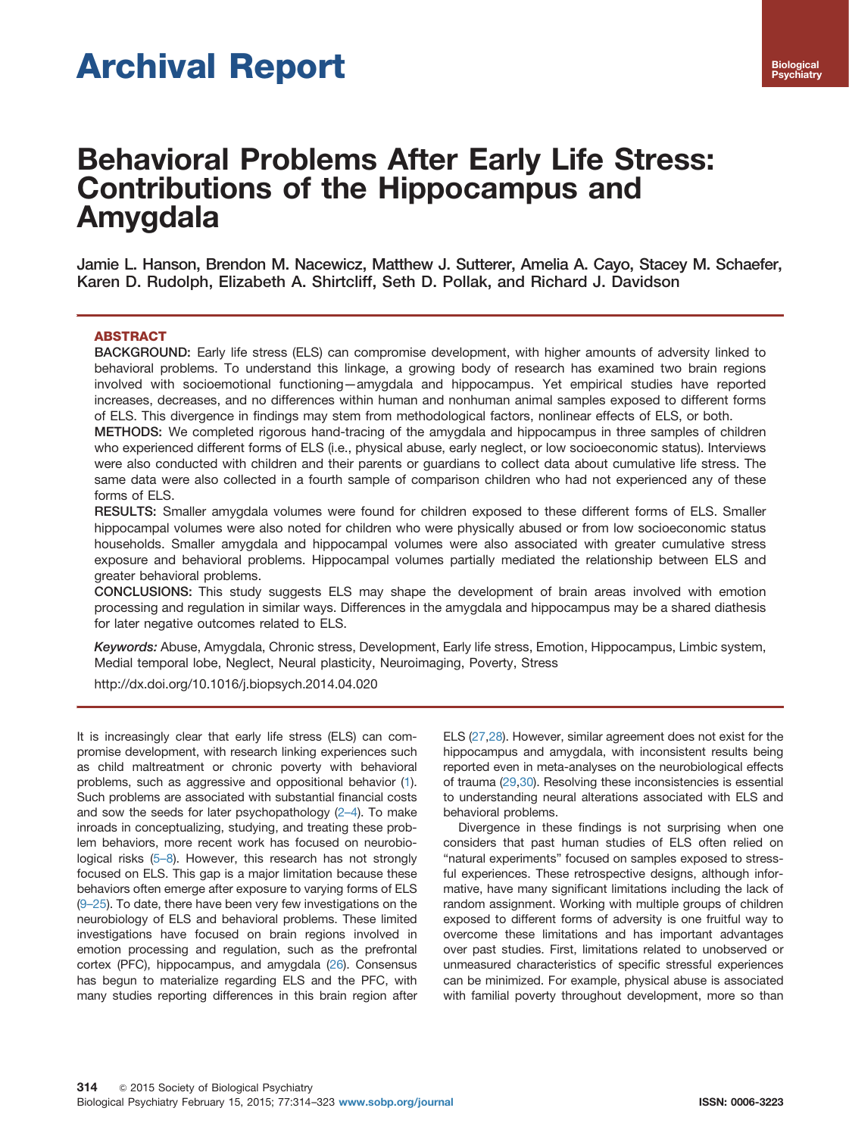# Archival Report

# Behavioral Problems After Early Life Stress: Contributions of the Hippocampus and Amygdala

Jamie L. Hanson, Brendon M. Nacewicz, Matthew J. Sutterer, Amelia A. Cayo, Stacey M. Schaefer, Karen D. Rudolph, Elizabeth A. Shirtcliff, Seth D. Pollak, and Richard J. Davidson

# ABSTRACT

BACKGROUND: Early life stress (ELS) can compromise development, with higher amounts of adversity linked to behavioral problems. To understand this linkage, a growing body of research has examined two brain regions involved with socioemotional functioning—amygdala and hippocampus. Yet empirical studies have reported increases, decreases, and no differences within human and nonhuman animal samples exposed to different forms of ELS. This divergence in findings may stem from methodological factors, nonlinear effects of ELS, or both.

METHODS: We completed rigorous hand-tracing of the amygdala and hippocampus in three samples of children who experienced different forms of ELS (i.e., physical abuse, early neglect, or low socioeconomic status). Interviews were also conducted with children and their parents or guardians to collect data about cumulative life stress. The same data were also collected in a fourth sample of comparison children who had not experienced any of these forms of ELS.

RESULTS: Smaller amygdala volumes were found for children exposed to these different forms of ELS. Smaller hippocampal volumes were also noted for children who were physically abused or from low socioeconomic status households. Smaller amygdala and hippocampal volumes were also associated with greater cumulative stress exposure and behavioral problems. Hippocampal volumes partially mediated the relationship between ELS and greater behavioral problems.

CONCLUSIONS: This study suggests ELS may shape the development of brain areas involved with emotion processing and regulation in similar ways. Differences in the amygdala and hippocampus may be a shared diathesis for later negative outcomes related to ELS.

Keywords: Abuse, Amygdala, Chronic stress, Development, Early life stress, Emotion, Hippocampus, Limbic system, Medial temporal lobe, Neglect, Neural plasticity, Neuroimaging, Poverty, Stress

[http://dx.doi.org/10.1016/j.biopsych.2014.04.020](dx.doi.org/10.1016/j.biopsych.2014.04.020)

It is increasingly clear that early life stress (ELS) can compromise development, with research linking experiences such as child maltreatment or chronic poverty with behavioral problems, such as aggressive and oppositional behavior [\(1](#page-6-0)). Such problems are associated with substantial financial costs and sow the seeds for later psychopathology ([2](#page-6-0)–4). To make inroads in conceptualizing, studying, and treating these problem behaviors, more recent work has focused on neurobio-logical risks (5-[8](#page-6-0)). However, this research has not strongly focused on ELS. This gap is a major limitation because these behaviors often emerge after exposure to varying forms of ELS (9–[25](#page-6-0)). To date, there have been very few investigations on the neurobiology of ELS and behavioral problems. These limited investigations have focused on brain regions involved in emotion processing and regulation, such as the prefrontal cortex (PFC), hippocampus, and amygdala [\(26\)](#page-7-0). Consensus has begun to materialize regarding ELS and the PFC, with many studies reporting differences in this brain region after

ELS [\(27,28](#page-7-0)). However, similar agreement does not exist for the hippocampus and amygdala, with inconsistent results being reported even in meta-analyses on the neurobiological effects of trauma ([29,30\)](#page-7-0). Resolving these inconsistencies is essential to understanding neural alterations associated with ELS and behavioral problems.

Divergence in these findings is not surprising when one considers that past human studies of ELS often relied on "natural experiments" focused on samples exposed to stressful experiences. These retrospective designs, although informative, have many significant limitations including the lack of random assignment. Working with multiple groups of children exposed to different forms of adversity is one fruitful way to overcome these limitations and has important advantages over past studies. First, limitations related to unobserved or unmeasured characteristics of specific stressful experiences can be minimized. For example, physical abuse is associated with familial poverty throughout development, more so than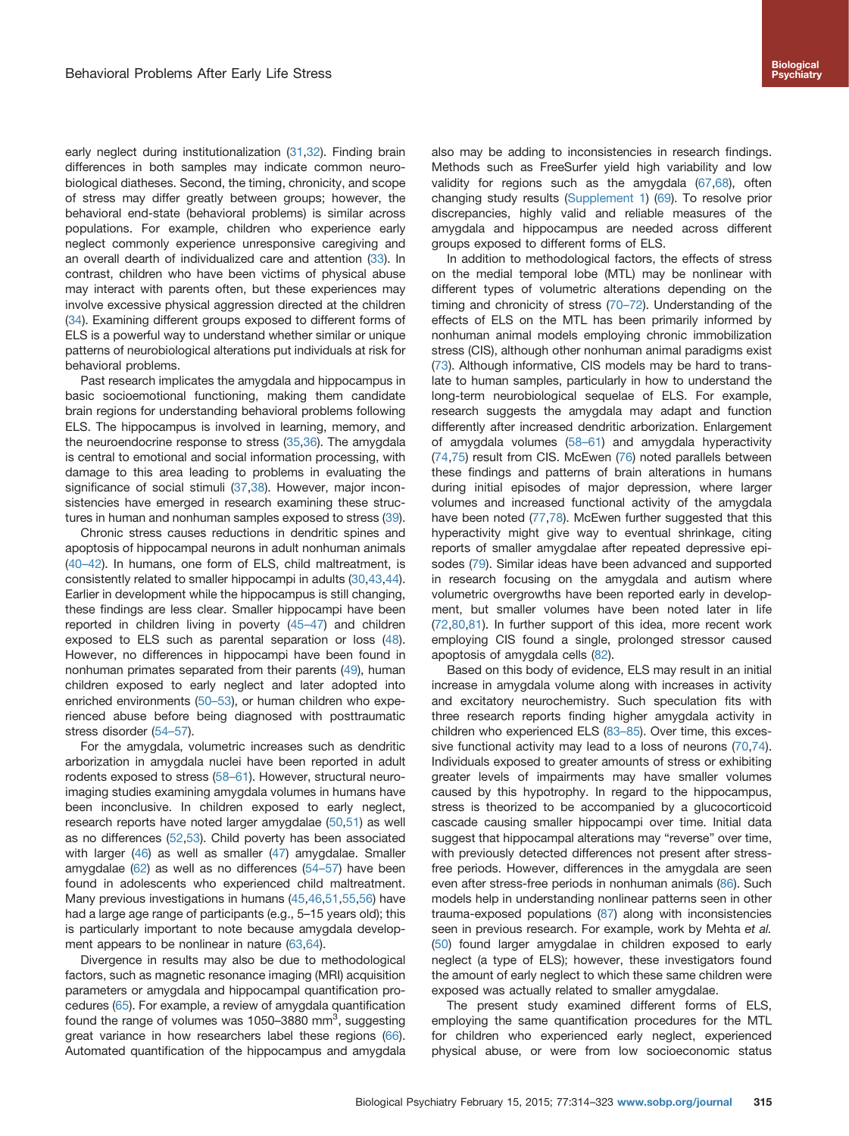early neglect during institutionalization ([31,32\)](#page-7-0). Finding brain differences in both samples may indicate common neurobiological diatheses. Second, the timing, chronicity, and scope of stress may differ greatly between groups; however, the behavioral end-state (behavioral problems) is similar across populations. For example, children who experience early neglect commonly experience unresponsive caregiving and an overall dearth of individualized care and attention [\(33\)](#page-7-0). In contrast, children who have been victims of physical abuse may interact with parents often, but these experiences may involve excessive physical aggression directed at the children [\(34\)](#page-7-0). Examining different groups exposed to different forms of ELS is a powerful way to understand whether similar or unique patterns of neurobiological alterations put individuals at risk for behavioral problems.

Past research implicates the amygdala and hippocampus in basic socioemotional functioning, making them candidate brain regions for understanding behavioral problems following ELS. The hippocampus is involved in learning, memory, and the neuroendocrine response to stress [\(35,36](#page-7-0)). The amygdala is central to emotional and social information processing, with damage to this area leading to problems in evaluating the significance of social stimuli [\(37,38](#page-7-0)). However, major inconsistencies have emerged in research examining these struc-tures in human and nonhuman samples exposed to stress ([39](#page-7-0)).

Chronic stress causes reductions in dendritic spines and apoptosis of hippocampal neurons in adult nonhuman animals [\(40](#page-7-0)–42). In humans, one form of ELS, child maltreatment, is consistently related to smaller hippocampi in adults [\(30,43](#page-7-0),[44](#page-7-0)). Earlier in development while the hippocampus is still changing, these findings are less clear. Smaller hippocampi have been reported in children living in poverty [\(45](#page-7-0)–47) and children exposed to ELS such as parental separation or loss ([48](#page-7-0)). However, no differences in hippocampi have been found in nonhuman primates separated from their parents [\(49](#page-7-0)), human children exposed to early neglect and later adopted into enriched environments [\(50](#page-7-0)–53), or human children who experienced abuse before being diagnosed with posttraumatic stress disorder (54–[57\)](#page-7-0).

For the amygdala, volumetric increases such as dendritic arborization in amygdala nuclei have been reported in adult rodents exposed to stress (58–[61\)](#page-8-0). However, structural neuroimaging studies examining amygdala volumes in humans have been inconclusive. In children exposed to early neglect, research reports have noted larger amygdalae ([50](#page-7-0),[51\)](#page-7-0) as well as no differences ([52](#page-7-0),[53\)](#page-7-0). Child poverty has been associated with larger ([46](#page-7-0)) as well as smaller ([47\)](#page-7-0) amygdalae. Smaller amygdalae ([62](#page-8-0)) as well as no differences [\(54](#page-7-0)–57) have been found in adolescents who experienced child maltreatment. Many previous investigations in humans ([45,46,51,55](#page-7-0),[56\)](#page-7-0) have had a large age range of participants (e.g., 5–15 years old); this is particularly important to note because amygdala development appears to be nonlinear in nature [\(63,64](#page-8-0)).

Divergence in results may also be due to methodological factors, such as magnetic resonance imaging (MRI) acquisition parameters or amygdala and hippocampal quantification procedures ([65\)](#page-8-0). For example, a review of amygdala quantification found the range of volumes was 1050-3880 mm<sup>3</sup>, suggesting great variance in how researchers label these regions ([66](#page-8-0)). Automated quantification of the hippocampus and amygdala also may be adding to inconsistencies in research findings. Methods such as FreeSurfer yield high variability and low validity for regions such as the amygdala [\(67,68](#page-8-0)), often changing study results [\(Supplement 1](#page-6-0)) [\(69\)](#page-8-0). To resolve prior discrepancies, highly valid and reliable measures of the amygdala and hippocampus are needed across different groups exposed to different forms of ELS.

In addition to methodological factors, the effects of stress on the medial temporal lobe (MTL) may be nonlinear with different types of volumetric alterations depending on the timing and chronicity of stress [\(70](#page-8-0)–72). Understanding of the effects of ELS on the MTL has been primarily informed by nonhuman animal models employing chronic immobilization stress (CIS), although other nonhuman animal paradigms exist ([73](#page-8-0)). Although informative, CIS models may be hard to translate to human samples, particularly in how to understand the long-term neurobiological sequelae of ELS. For example, research suggests the amygdala may adapt and function differently after increased dendritic arborization. Enlargement of amygdala volumes (58–[61\)](#page-8-0) and amygdala hyperactivity ([74,75\)](#page-8-0) result from CIS. McEwen ([76\)](#page-8-0) noted parallels between these findings and patterns of brain alterations in humans during initial episodes of major depression, where larger volumes and increased functional activity of the amygdala have been noted ([77](#page-8-0),[78](#page-8-0)). McEwen further suggested that this hyperactivity might give way to eventual shrinkage, citing reports of smaller amygdalae after repeated depressive episodes [\(79\)](#page-8-0). Similar ideas have been advanced and supported in research focusing on the amygdala and autism where volumetric overgrowths have been reported early in development, but smaller volumes have been noted later in life ([72,80,81](#page-8-0)). In further support of this idea, more recent work employing CIS found a single, prolonged stressor caused apoptosis of amygdala cells ([82](#page-8-0)).

Based on this body of evidence, ELS may result in an initial increase in amygdala volume along with increases in activity and excitatory neurochemistry. Such speculation fits with three research reports finding higher amygdala activity in children who experienced ELS [\(83](#page-8-0)–85). Over time, this excessive functional activity may lead to a loss of neurons [\(70,74\)](#page-8-0). Individuals exposed to greater amounts of stress or exhibiting greater levels of impairments may have smaller volumes caused by this hypotrophy. In regard to the hippocampus, stress is theorized to be accompanied by a glucocorticoid cascade causing smaller hippocampi over time. Initial data suggest that hippocampal alterations may "reverse" over time, with previously detected differences not present after stressfree periods. However, differences in the amygdala are seen even after stress-free periods in nonhuman animals [\(86\)](#page-8-0). Such models help in understanding nonlinear patterns seen in other trauma-exposed populations ([87](#page-8-0)) along with inconsistencies seen in previous research. For example, work by Mehta et al. ([50](#page-7-0)) found larger amygdalae in children exposed to early neglect (a type of ELS); however, these investigators found the amount of early neglect to which these same children were exposed was actually related to smaller amygdalae.

The present study examined different forms of ELS, employing the same quantification procedures for the MTL for children who experienced early neglect, experienced physical abuse, or were from low socioeconomic status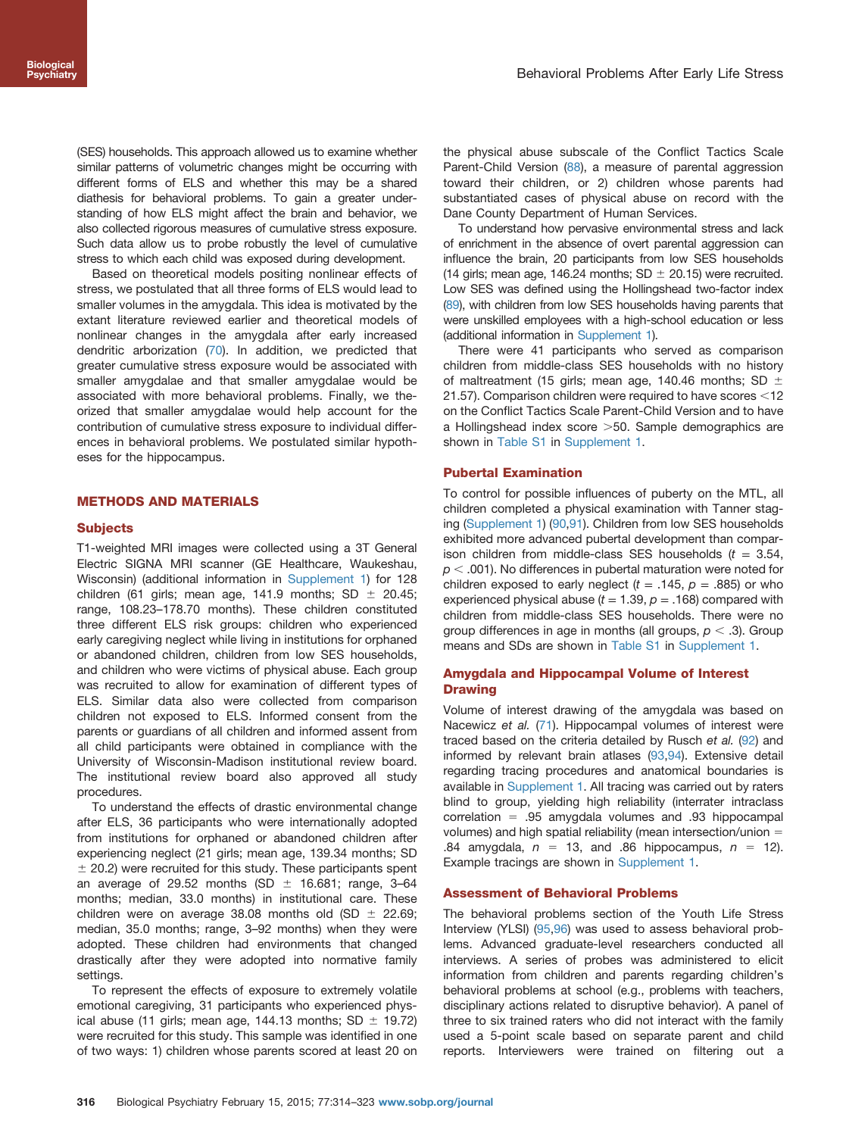(SES) households. This approach allowed us to examine whether similar patterns of volumetric changes might be occurring with different forms of ELS and whether this may be a shared diathesis for behavioral problems. To gain a greater understanding of how ELS might affect the brain and behavior, we also collected rigorous measures of cumulative stress exposure. Such data allow us to probe robustly the level of cumulative stress to which each child was exposed during development.

Based on theoretical models positing nonlinear effects of stress, we postulated that all three forms of ELS would lead to smaller volumes in the amygdala. This idea is motivated by the extant literature reviewed earlier and theoretical models of nonlinear changes in the amygdala after early increased dendritic arborization ([70](#page-8-0)). In addition, we predicted that greater cumulative stress exposure would be associated with smaller amygdalae and that smaller amygdalae would be associated with more behavioral problems. Finally, we theorized that smaller amygdalae would help account for the contribution of cumulative stress exposure to individual differences in behavioral problems. We postulated similar hypotheses for the hippocampus.

## METHODS AND MATERIALS

#### **Subjects**

T1-weighted MRI images were collected using a 3T General Electric SIGNA MRI scanner (GE Healthcare, Waukeshau, Wisconsin) (additional information in [Supplement 1\)](#page-6-0) for 128 children (61 girls; mean age, 141.9 months; SD  $\pm$  20.45; range, 108.23–178.70 months). These children constituted three different ELS risk groups: children who experienced early caregiving neglect while living in institutions for orphaned or abandoned children, children from low SES households, and children who were victims of physical abuse. Each group was recruited to allow for examination of different types of ELS. Similar data also were collected from comparison children not exposed to ELS. Informed consent from the parents or guardians of all children and informed assent from all child participants were obtained in compliance with the University of Wisconsin-Madison institutional review board. The institutional review board also approved all study procedures.

To understand the effects of drastic environmental change after ELS, 36 participants who were internationally adopted from institutions for orphaned or abandoned children after experiencing neglect (21 girls; mean age, 139.34 months; SD  $\pm$  20.2) were recruited for this study. These participants spent an average of 29.52 months (SD  $\pm$  16.681; range, 3-64 months; median, 33.0 months) in institutional care. These children were on average 38.08 months old (SD  $\pm$  22.69; median, 35.0 months; range, 3–92 months) when they were adopted. These children had environments that changed drastically after they were adopted into normative family settings.

To represent the effects of exposure to extremely volatile emotional caregiving, 31 participants who experienced physical abuse (11 girls; mean age, 144.13 months; SD  $\pm$  19.72) were recruited for this study. This sample was identified in one of two ways: 1) children whose parents scored at least 20 on the physical abuse subscale of the Conflict Tactics Scale Parent-Child Version ([88](#page-8-0)), a measure of parental aggression toward their children, or 2) children whose parents had substantiated cases of physical abuse on record with the Dane County Department of Human Services.

To understand how pervasive environmental stress and lack of enrichment in the absence of overt parental aggression can influence the brain, 20 participants from low SES households (14 girls; mean age, 146.24 months; SD  $\pm$  20.15) were recruited. Low SES was defined using the Hollingshead two-factor index [\(89\)](#page-8-0), with children from low SES households having parents that were unskilled employees with a high-school education or less (additional information in [Supplement 1](#page-6-0)).

There were 41 participants who served as comparison children from middle-class SES households with no history of maltreatment (15 girls; mean age, 140.46 months; SD  $\pm$ 21.57). Comparison children were required to have scores  $<$ 12 on the Conflict Tactics Scale Parent-Child Version and to have a Hollingshead index score  $>50$ . Sample demographics are shown in [Table S1](#page-6-0) in [Supplement 1](#page-6-0).

#### Pubertal Examination

To control for possible influences of puberty on the MTL, all children completed a physical examination with Tanner staging ([Supplement 1](#page-6-0)) ([90,91\)](#page-8-0). Children from low SES households exhibited more advanced pubertal development than comparison children from middle-class SES households  $(t = 3.54,$  $p < .001$ ). No differences in pubertal maturation were noted for children exposed to early neglect ( $t = .145$ ,  $p = .885$ ) or who experienced physical abuse ( $t = 1.39$ ,  $p = .168$ ) compared with children from middle-class SES households. There were no group differences in age in months (all groups,  $p < .3$ ). Group means and SDs are shown in [Table S1](#page-6-0) in [Supplement 1](#page-6-0).

# Amygdala and Hippocampal Volume of Interest **Drawing**

Volume of interest drawing of the amygdala was based on Nacewicz et al. [\(71\)](#page-8-0). Hippocampal volumes of interest were traced based on the criteria detailed by Rusch et al. [\(92\)](#page-8-0) and informed by relevant brain atlases ([93,94\)](#page-8-0). Extensive detail regarding tracing procedures and anatomical boundaries is available in [Supplement 1](#page-6-0). All tracing was carried out by raters blind to group, yielding high reliability (interrater intraclass correlation  $=$  .95 amygdala volumes and .93 hippocampal volumes) and high spatial reliability (mean intersection/union  $=$ .84 amygdala,  $n = 13$ , and .86 hippocampus,  $n = 12$ . Example tracings are shown in [Supplement 1](#page-6-0).

#### Assessment of Behavioral Problems

The behavioral problems section of the Youth Life Stress Interview (YLSI) [\(95](#page-8-0),[96](#page-8-0)) was used to assess behavioral problems. Advanced graduate-level researchers conducted all interviews. A series of probes was administered to elicit information from children and parents regarding children's behavioral problems at school (e.g., problems with teachers, disciplinary actions related to disruptive behavior). A panel of three to six trained raters who did not interact with the family used a 5-point scale based on separate parent and child reports. Interviewers were trained on filtering out a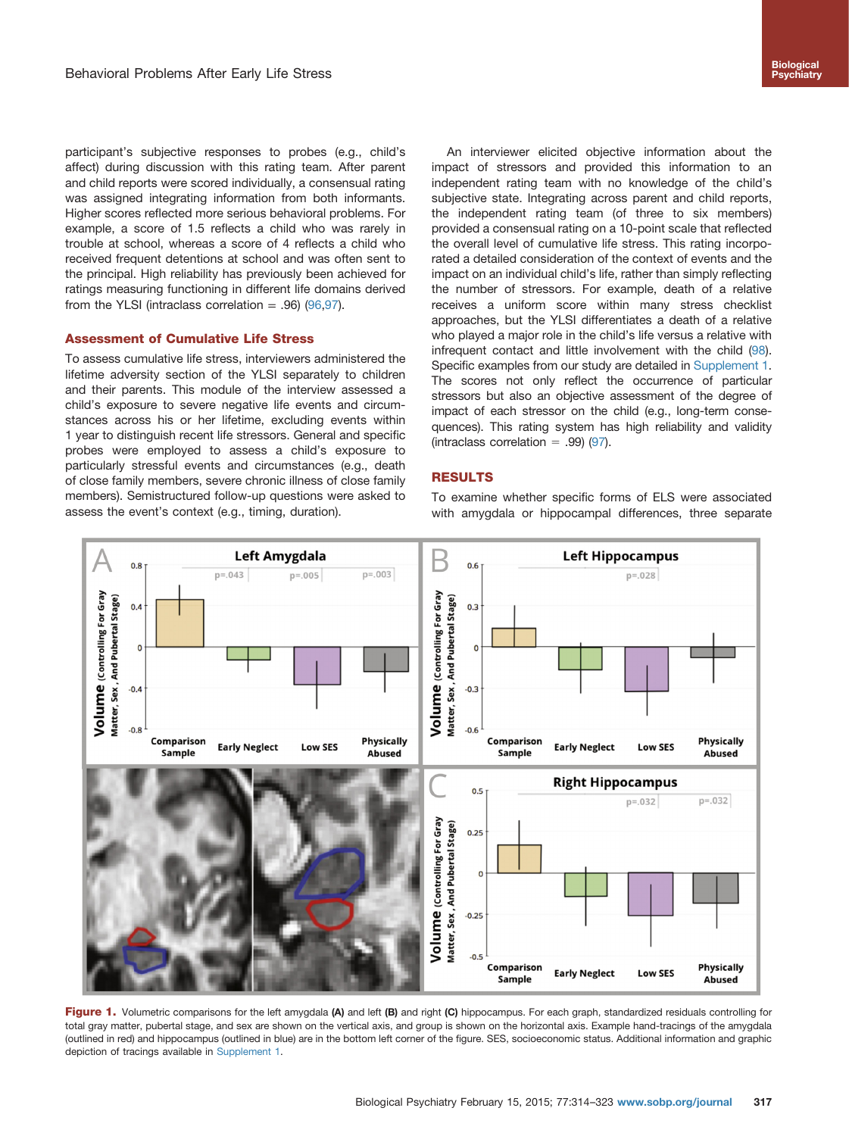<span id="page-3-0"></span>participant's subjective responses to probes (e.g., child's affect) during discussion with this rating team. After parent and child reports were scored individually, a consensual rating was assigned integrating information from both informants. Higher scores reflected more serious behavioral problems. For example, a score of 1.5 reflects a child who was rarely in trouble at school, whereas a score of 4 reflects a child who received frequent detentions at school and was often sent to the principal. High reliability has previously been achieved for ratings measuring functioning in different life domains derived from the YLSI (intraclass correlation  $= .96$ ) [\(96,97](#page-8-0)).

# Assessment of Cumulative Life Stress

To assess cumulative life stress, interviewers administered the lifetime adversity section of the YLSI separately to children and their parents. This module of the interview assessed a child's exposure to severe negative life events and circumstances across his or her lifetime, excluding events within 1 year to distinguish recent life stressors. General and specific probes were employed to assess a child's exposure to particularly stressful events and circumstances (e.g., death of close family members, severe chronic illness of close family members). Semistructured follow-up questions were asked to assess the event's context (e.g., timing, duration).

An interviewer elicited objective information about the impact of stressors and provided this information to an independent rating team with no knowledge of the child's subjective state. Integrating across parent and child reports, the independent rating team (of three to six members) provided a consensual rating on a 10-point scale that reflected the overall level of cumulative life stress. This rating incorporated a detailed consideration of the context of events and the impact on an individual child's life, rather than simply reflecting the number of stressors. For example, death of a relative receives a uniform score within many stress checklist approaches, but the YLSI differentiates a death of a relative who played a major role in the child's life versus a relative with infrequent contact and little involvement with the child [\(98\)](#page-9-0). Specific examples from our study are detailed in [Supplement 1.](#page-6-0) The scores not only reflect the occurrence of particular stressors but also an objective assessment of the degree of impact of each stressor on the child (e.g., long-term consequences). This rating system has high reliability and validity (intraclass correlation = .99) ([97](#page-8-0)).

#### RESULTS

To examine whether specific forms of ELS were associated with amygdala or hippocampal differences, three separate



Figure 1. Volumetric comparisons for the left amygdala (A) and left (B) and right (C) hippocampus. For each graph, standardized residuals controlling for total gray matter, pubertal stage, and sex are shown on the vertical axis, and group is shown on the horizontal axis. Example hand-tracings of the amygdala (outlined in red) and hippocampus (outlined in blue) are in the bottom left corner of the figure. SES, socioeconomic status. Additional information and graphic depiction of tracings available in [Supplement 1](#page-6-0).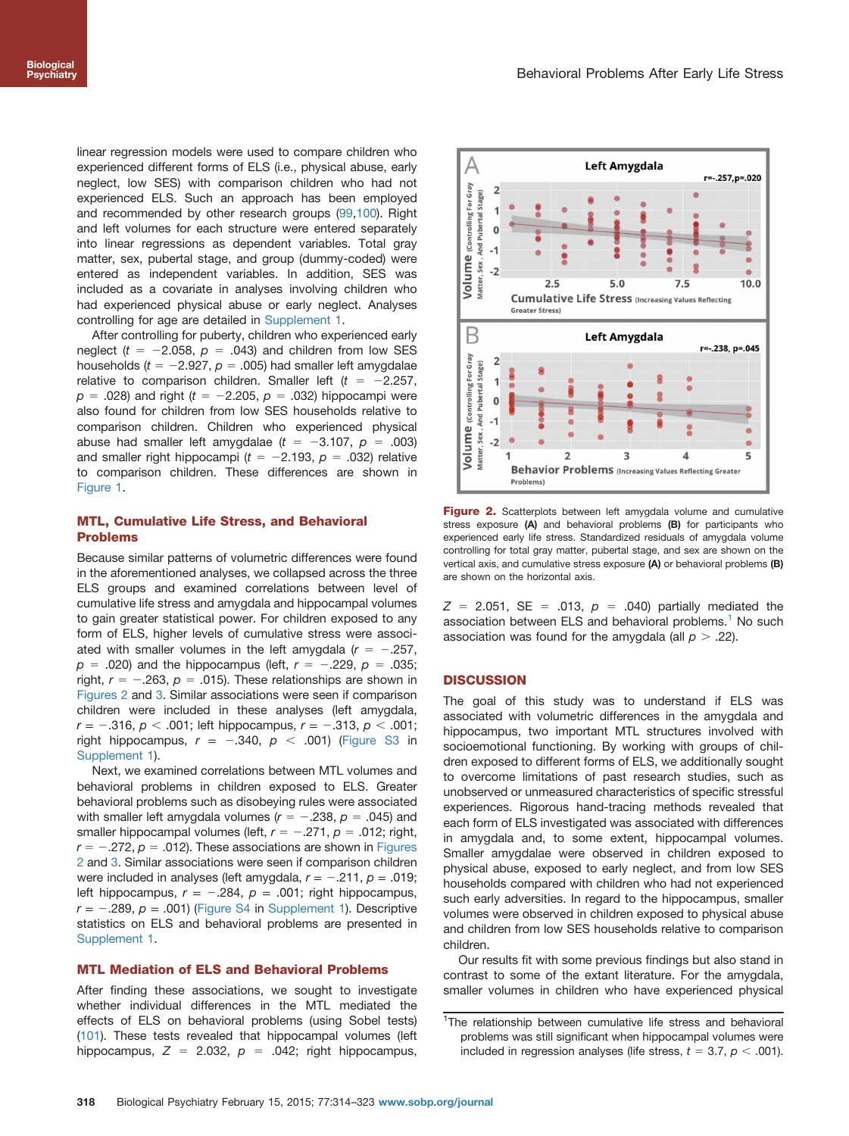linear regression models were used to compare children who experienced different forms of ELS (i.e., physical abuse, early neglect, low SES) with comparison children who had not experienced ELS. Such an approach has been employed and recommended by other research groups ([99,100\)](#page-9-0). Right and left volumes for each structure were entered separately into linear regressions as dependent variables. Total gray matter, sex, pubertal stage, and group (dummy-coded) were entered as independent variables. In addition, SES was included as a covariate in analyses involving children who had experienced physical abuse or early neglect. Analyses controlling for age are detailed in [Supplement 1.](#page-6-0)

After controlling for puberty, children who experienced early neglect ( $t = -2.058$ ,  $p = .043$ ) and children from low SES households ( $t = -2.927$ ,  $p = .005$ ) had smaller left amygdalae relative to comparison children. Smaller left  $(t = -2.257,$  $p = .028$ ) and right (t = -2.205,  $p = .032$ ) hippocampi were also found for children from low SES households relative to comparison children. Children who experienced physical abuse had smaller left amygdalae ( $t = -3.107$ ,  $p = .003$ ) and smaller right hippocampi ( $t = -2.193$ ,  $p = .032$ ) relative to comparison children. These differences are shown in [Figure 1](#page-3-0).

# MTL, Cumulative Life Stress, and Behavioral Problems

Because similar patterns of volumetric differences were found in the aforementioned analyses, we collapsed across the three ELS groups and examined correlations between level of cumulative life stress and amygdala and hippocampal volumes to gain greater statistical power. For children exposed to any form of ELS, higher levels of cumulative stress were associated with smaller volumes in the left amygdala  $(r = -.257, ...)$  $p = .020$ ) and the hippocampus (left,  $r = -.229$ ,  $p = .035$ ; right,  $r = -.263$ ,  $p = .015$ ). These relationships are shown in Figures 2 and [3](#page-5-0). Similar associations were seen if comparison children were included in these analyses (left amygdala,  $r = -.316$ ,  $p < .001$ ; left hippocampus,  $r = -.313$ ,  $p < .001$ ; right hippocampus,  $r = -.340, p < .001$ ) ([Figure S3](#page-6-0) in [Supplement 1](#page-6-0)).

Next, we examined correlations between MTL volumes and behavioral problems in children exposed to ELS. Greater behavioral problems such as disobeying rules were associated with smaller left amygdala volumes ( $r = -.238$ ,  $p = .045$ ) and smaller hippocampal volumes (left,  $r = -.271$ ,  $p = .012$ ; right,  $r = -.272$ ,  $p = .012$ ). These associations are shown in Figures 2 and [3](#page-5-0). Similar associations were seen if comparison children were included in analyses (left amygdala,  $r = -.211$ ,  $p = .019$ ; left hippocampus,  $r = -.284$ ,  $p = .001$ ; right hippocampus,  $r = -.289$ ,  $p = .001$ ) ([Figure S4](#page-6-0) in [Supplement 1](#page-6-0)). Descriptive statistics on ELS and behavioral problems are presented in [Supplement 1](#page-6-0).

# MTL Mediation of ELS and Behavioral Problems

After finding these associations, we sought to investigate whether individual differences in the MTL mediated the effects of ELS on behavioral problems (using Sobel tests) [\(101](#page-9-0)). These tests revealed that hippocampal volumes (left hippocampus,  $Z = 2.032$ ,  $p = .042$ ; right hippocampus,



Figure 2. Scatterplots between left amygdala volume and cumulative stress exposure (A) and behavioral problems (B) for participants who experienced early life stress. Standardized residuals of amygdala volume controlling for total gray matter, pubertal stage, and sex are shown on the vertical axis, and cumulative stress exposure (A) or behavioral problems (B) are shown on the horizontal axis.

 $Z = 2.051$ , SE = .013,  $p = .040$ ) partially mediated the association between ELS and behavioral problems.<sup>1</sup> No such association was found for the amygdala (all  $p > .22$ ).

#### **DISCUSSION**

The goal of this study was to understand if ELS was associated with volumetric differences in the amygdala and hippocampus, two important MTL structures involved with socioemotional functioning. By working with groups of children exposed to different forms of ELS, we additionally sought to overcome limitations of past research studies, such as unobserved or unmeasured characteristics of specific stressful experiences. Rigorous hand-tracing methods revealed that each form of ELS investigated was associated with differences in amygdala and, to some extent, hippocampal volumes. Smaller amygdalae were observed in children exposed to physical abuse, exposed to early neglect, and from low SES households compared with children who had not experienced such early adversities. In regard to the hippocampus, smaller volumes were observed in children exposed to physical abuse and children from low SES households relative to comparison children.

Our results fit with some previous findings but also stand in contrast to some of the extant literature. For the amygdala, smaller volumes in children who have experienced physical

<sup>&</sup>lt;sup>1</sup>The relationship between cumulative life stress and behavioral problems was still significant when hippocampal volumes were included in regression analyses (life stress,  $t = 3.7$ ,  $p < .001$ ).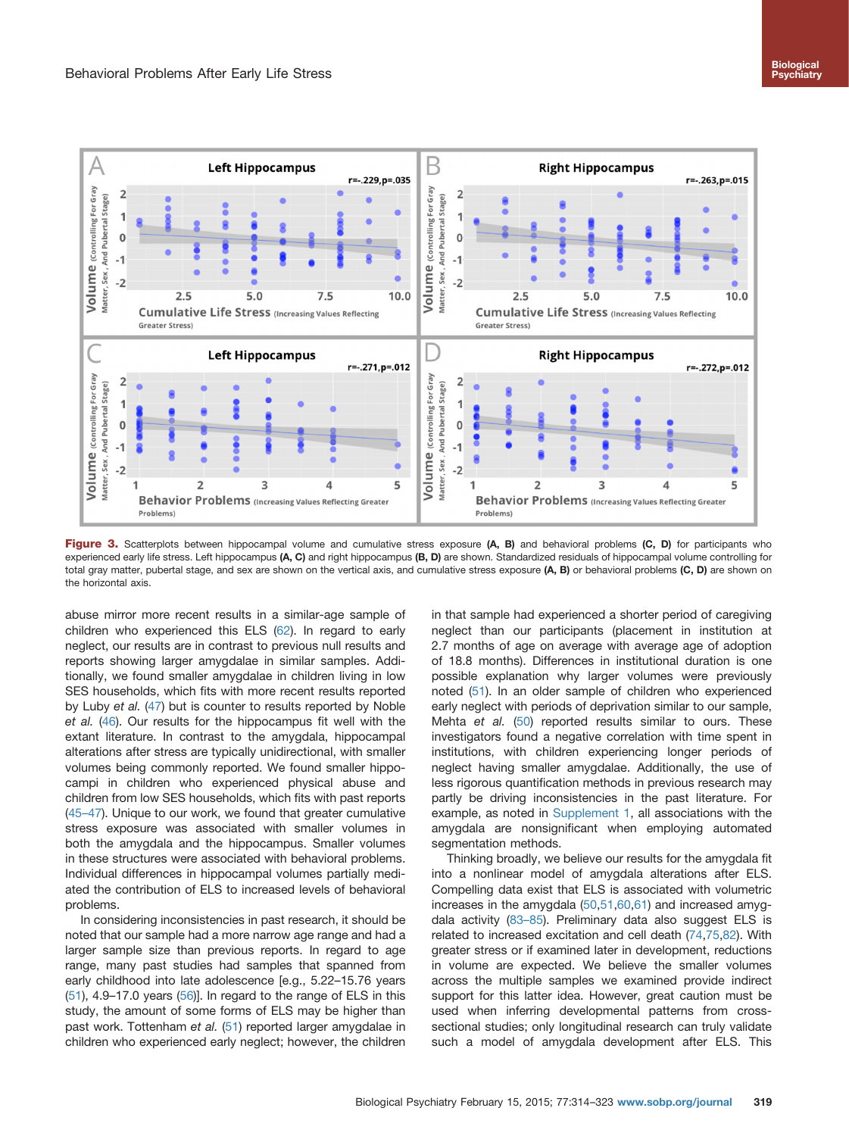<span id="page-5-0"></span>

Figure 3. Scatterplots between hippocampal volume and cumulative stress exposure (A, B) and behavioral problems (C, D) for participants who experienced early life stress. Left hippocampus (A, C) and right hippocampus (B, D) are shown. Standardized residuals of hippocampal volume controlling for total gray matter, pubertal stage, and sex are shown on the vertical axis, and cumulative stress exposure (A, B) or behavioral problems (C, D) are shown on the horizontal axis.

abuse mirror more recent results in a similar-age sample of children who experienced this ELS ([62](#page-8-0)). In regard to early neglect, our results are in contrast to previous null results and reports showing larger amygdalae in similar samples. Additionally, we found smaller amygdalae in children living in low SES households, which fits with more recent results reported by Luby et al. [\(47](#page-7-0)) but is counter to results reported by Noble et al. [\(46\)](#page-7-0). Our results for the hippocampus fit well with the extant literature. In contrast to the amygdala, hippocampal alterations after stress are typically unidirectional, with smaller volumes being commonly reported. We found smaller hippocampi in children who experienced physical abuse and children from low SES households, which fits with past reports [\(45](#page-7-0)–47). Unique to our work, we found that greater cumulative stress exposure was associated with smaller volumes in both the amygdala and the hippocampus. Smaller volumes in these structures were associated with behavioral problems. Individual differences in hippocampal volumes partially mediated the contribution of ELS to increased levels of behavioral problems.

In considering inconsistencies in past research, it should be noted that our sample had a more narrow age range and had a larger sample size than previous reports. In regard to age range, many past studies had samples that spanned from early childhood into late adolescence [e.g., 5.22–15.76 years  $(51)$ , 4.9–17.0 years  $(56)$  $(56)$  $(56)$ ]. In regard to the range of ELS in this study, the amount of some forms of ELS may be higher than past work. Tottenham et al. [\(51\)](#page-7-0) reported larger amygdalae in children who experienced early neglect; however, the children

in that sample had experienced a shorter period of caregiving neglect than our participants (placement in institution at 2.7 months of age on average with average age of adoption of 18.8 months). Differences in institutional duration is one possible explanation why larger volumes were previously noted [\(51\)](#page-7-0). In an older sample of children who experienced early neglect with periods of deprivation similar to our sample, Mehta et al. [\(50](#page-7-0)) reported results similar to ours. These investigators found a negative correlation with time spent in institutions, with children experiencing longer periods of neglect having smaller amygdalae. Additionally, the use of less rigorous quantification methods in previous research may partly be driving inconsistencies in the past literature. For example, as noted in [Supplement 1](#page-6-0), all associations with the amygdala are nonsignificant when employing automated segmentation methods.

Thinking broadly, we believe our results for the amygdala fit into a nonlinear model of amygdala alterations after ELS. Compelling data exist that ELS is associated with volumetric increases in the amygdala [\(50](#page-7-0),[51](#page-7-0)[,60,61](#page-8-0)) and increased amygdala activity [\(83](#page-8-0)–85). Preliminary data also suggest ELS is related to increased excitation and cell death ([74](#page-8-0),[75,82\)](#page-8-0). With greater stress or if examined later in development, reductions in volume are expected. We believe the smaller volumes across the multiple samples we examined provide indirect support for this latter idea. However, great caution must be used when inferring developmental patterns from crosssectional studies; only longitudinal research can truly validate such a model of amygdala development after ELS. This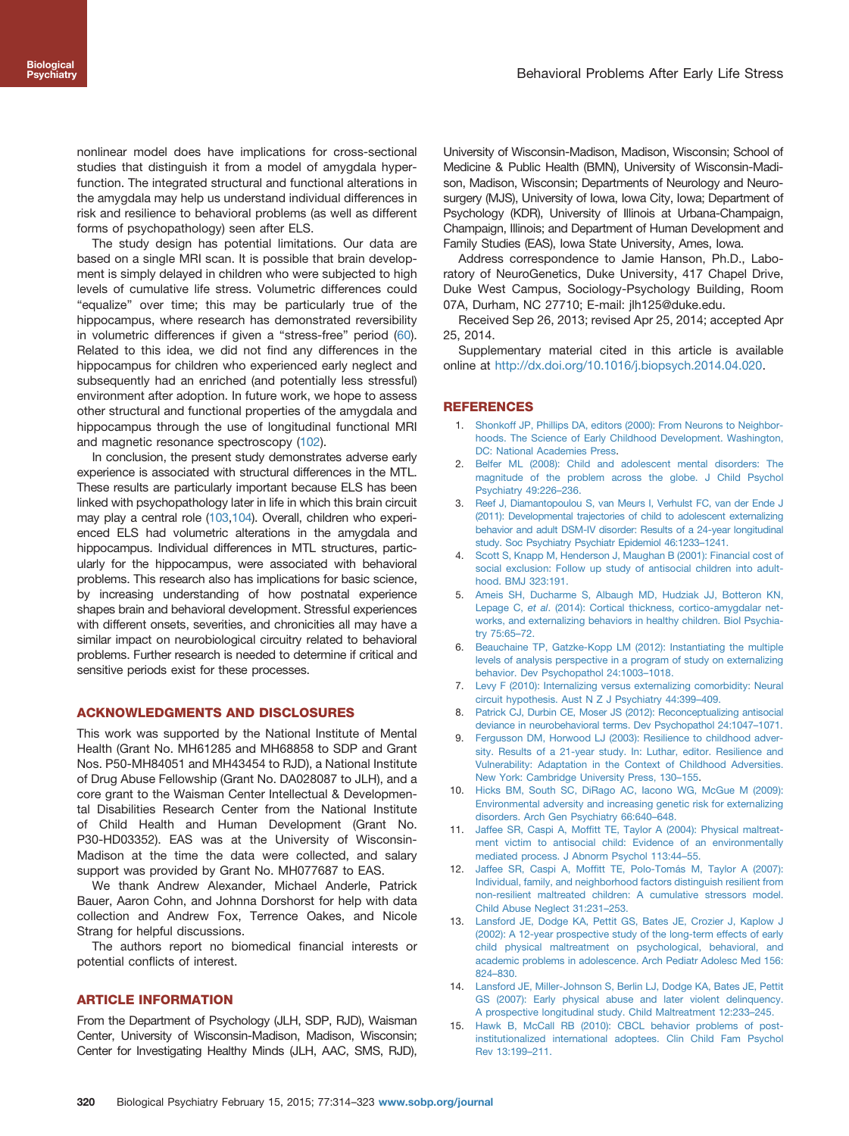<span id="page-6-0"></span>nonlinear model does have implications for cross-sectional studies that distinguish it from a model of amygdala hyperfunction. The integrated structural and functional alterations in the amygdala may help us understand individual differences in risk and resilience to behavioral problems (as well as different forms of psychopathology) seen after ELS.

The study design has potential limitations. Our data are based on a single MRI scan. It is possible that brain development is simply delayed in children who were subjected to high levels of cumulative life stress. Volumetric differences could "equalize" over time; this may be particularly true of the hippocampus, where research has demonstrated reversibility in volumetric differences if given a "stress-free" period ([60](#page-8-0)). Related to this idea, we did not find any differences in the hippocampus for children who experienced early neglect and subsequently had an enriched (and potentially less stressful) environment after adoption. In future work, we hope to assess other structural and functional properties of the amygdala and hippocampus through the use of longitudinal functional MRI and magnetic resonance spectroscopy ([102\)](#page-9-0).

In conclusion, the present study demonstrates adverse early experience is associated with structural differences in the MTL. These results are particularly important because ELS has been linked with psychopathology later in life in which this brain circuit may play a central role [\(103,104](#page-9-0)). Overall, children who experienced ELS had volumetric alterations in the amygdala and hippocampus. Individual differences in MTL structures, particularly for the hippocampus, were associated with behavioral problems. This research also has implications for basic science, by increasing understanding of how postnatal experience shapes brain and behavioral development. Stressful experiences with different onsets, severities, and chronicities all may have a similar impact on neurobiological circuitry related to behavioral problems. Further research is needed to determine if critical and sensitive periods exist for these processes.

#### ACKNOWLEDGMENTS AND DISCLOSURES

This work was supported by the National Institute of Mental Health (Grant No. MH61285 and MH68858 to SDP and Grant Nos. P50-MH84051 and MH43454 to RJD), a National Institute of Drug Abuse Fellowship (Grant No. DA028087 to JLH), and a core grant to the Waisman Center Intellectual & Developmental Disabilities Research Center from the National Institute of Child Health and Human Development (Grant No. P30-HD03352). EAS was at the University of Wisconsin-Madison at the time the data were collected, and salary support was provided by Grant No. MH077687 to EAS.

We thank Andrew Alexander, Michael Anderle, Patrick Bauer, Aaron Cohn, and Johnna Dorshorst for help with data collection and Andrew Fox, Terrence Oakes, and Nicole Strang for helpful discussions.

The authors report no biomedical financial interests or potential conflicts of interest.

#### ARTICLE INFORMATION

From the Department of Psychology (JLH, SDP, RJD), Waisman Center, University of Wisconsin-Madison, Madison, Wisconsin; Center for Investigating Healthy Minds (JLH, AAC, SMS, RJD), University of Wisconsin-Madison, Madison, Wisconsin; School of Medicine & Public Health (BMN), University of Wisconsin-Madison, Madison, Wisconsin; Departments of Neurology and Neurosurgery (MJS), University of Iowa, Iowa City, Iowa; Department of Psychology (KDR), University of Illinois at Urbana-Champaign, Champaign, Illinois; and Department of Human Development and Family Studies (EAS), Iowa State University, Ames, Iowa.

Address correspondence to Jamie Hanson, Ph.D., Laboratory of NeuroGenetics, Duke University, 417 Chapel Drive, Duke West Campus, Sociology-Psychology Building, Room 07A, Durham, NC 27710; E-mail: jlh125@duke.edu.

Received Sep 26, 2013; revised Apr 25, 2014; accepted Apr 25, 2014.

Supplementary material cited in this article is available online at http://dx.doi.org/10.1016/j.biopsych.2014.04.020.

## **REFERENCES**

- 1. [Shonkoff JP, Phillips DA, editors \(2000\): From Neurons to Neighbor](http://refhub.elsevier.com/S0006-3223(14)00351-5/sbref1)[hoods. The Science of Early Childhood Development. Washington,](http://refhub.elsevier.com/S0006-3223(14)00351-5/sbref1) [DC: National Academies Press.](http://refhub.elsevier.com/S0006-3223(14)00351-5/sbref1)
- 2. [Belfer ML \(2008\): Child and adolescent mental disorders: The](http://refhub.elsevier.com/S0006-3223(14)00351-5/sbref2) [magnitude of the problem across the globe. J Child Psychol](http://refhub.elsevier.com/S0006-3223(14)00351-5/sbref2) [Psychiatry 49:226](http://refhub.elsevier.com/S0006-3223(14)00351-5/sbref2)–236.
- 3. [Reef J, Diamantopoulou S, van Meurs I, Verhulst FC, van der Ende J](http://refhub.elsevier.com/S0006-3223(14)00351-5/sbref3) [\(2011\): Developmental trajectories of child to adolescent externalizing](http://refhub.elsevier.com/S0006-3223(14)00351-5/sbref3) [behavior and adult DSM-IV disorder: Results of a 24-year longitudinal](http://refhub.elsevier.com/S0006-3223(14)00351-5/sbref3) [study. Soc Psychiatry Psychiatr Epidemiol 46:1233](http://refhub.elsevier.com/S0006-3223(14)00351-5/sbref3)–1241.
- 4. [Scott S, Knapp M, Henderson J, Maughan B \(2001\): Financial cost of](http://refhub.elsevier.com/S0006-3223(14)00351-5/sbref4) [social exclusion: Follow up study of antisocial children into adult](http://refhub.elsevier.com/S0006-3223(14)00351-5/sbref4)[hood. BMJ 323:191.](http://refhub.elsevier.com/S0006-3223(14)00351-5/sbref4)
- 5. [Ameis SH, Ducharme S, Albaugh MD, Hudziak JJ, Botteron KN,](http://refhub.elsevier.com/S0006-3223(14)00351-5/sbref5) Lepage C, et al[. \(2014\): Cortical thickness, cortico-amygdalar net](http://refhub.elsevier.com/S0006-3223(14)00351-5/sbref5)[works, and externalizing behaviors in healthy children. Biol Psychia](http://refhub.elsevier.com/S0006-3223(14)00351-5/sbref5)[try 75:65](http://refhub.elsevier.com/S0006-3223(14)00351-5/sbref5)–72.
- 6. [Beauchaine TP, Gatzke-Kopp LM \(2012\): Instantiating the multiple](http://refhub.elsevier.com/S0006-3223(14)00351-5/sbref6) [levels of analysis perspective in a program of study on externalizing](http://refhub.elsevier.com/S0006-3223(14)00351-5/sbref6) [behavior. Dev Psychopathol 24:1003](http://refhub.elsevier.com/S0006-3223(14)00351-5/sbref6)–1018.
- 7. [Levy F \(2010\): Internalizing versus externalizing comorbidity: Neural](http://refhub.elsevier.com/S0006-3223(14)00351-5/sbref7) [circuit hypothesis. Aust N Z J Psychiatry 44:399](http://refhub.elsevier.com/S0006-3223(14)00351-5/sbref7)–409.
- 8. [Patrick CJ, Durbin CE, Moser JS \(2012\): Reconceptualizing antisocial](http://refhub.elsevier.com/S0006-3223(14)00351-5/sbref8) [deviance in neurobehavioral terms. Dev Psychopathol 24:1047](http://refhub.elsevier.com/S0006-3223(14)00351-5/sbref8)–1071.
- 9. [Fergusson DM, Horwood LJ \(2003\): Resilience to childhood adver](http://refhub.elsevier.com/S0006-3223(14)00351-5/sbref9)[sity. Results of a 21-year study. In: Luthar, editor. Resilience and](http://refhub.elsevier.com/S0006-3223(14)00351-5/sbref9) [Vulnerability: Adaptation in the Context of Childhood Adversities.](http://refhub.elsevier.com/S0006-3223(14)00351-5/sbref9) [New York: Cambridge University Press, 130](http://refhub.elsevier.com/S0006-3223(14)00351-5/sbref9)–155.
- 10. [Hicks BM, South SC, DiRago AC, Iacono WG, McGue M \(2009\):](http://refhub.elsevier.com/S0006-3223(14)00351-5/sbref10) [Environmental adversity and increasing genetic risk for externalizing](http://refhub.elsevier.com/S0006-3223(14)00351-5/sbref10) [disorders. Arch Gen Psychiatry 66:640](http://refhub.elsevier.com/S0006-3223(14)00351-5/sbref10)–648.
- 11. Jaffee SR, Caspi A, Moffi[tt TE, Taylor A \(2004\): Physical maltreat](http://refhub.elsevier.com/S0006-3223(14)00351-5/sbref11)[ment victim to antisocial child: Evidence of an environmentally](http://refhub.elsevier.com/S0006-3223(14)00351-5/sbref11) [mediated process. J Abnorm Psychol 113:44](http://refhub.elsevier.com/S0006-3223(14)00351-5/sbref11)–55.
- 12. Jaffee SR, Caspi A, Moffi[tt TE, Polo-Tomás M, Taylor A \(2007\):](http://refhub.elsevier.com/S0006-3223(14)00351-5/sbref12) [Individual, family, and neighborhood factors distinguish resilient from](http://refhub.elsevier.com/S0006-3223(14)00351-5/sbref12) [non-resilient maltreated children: A cumulative stressors model.](http://refhub.elsevier.com/S0006-3223(14)00351-5/sbref12) [Child Abuse Neglect 31:231](http://refhub.elsevier.com/S0006-3223(14)00351-5/sbref12)–253.
- 13. [Lansford JE, Dodge KA, Pettit GS, Bates JE, Crozier J, Kaplow J](http://refhub.elsevier.com/S0006-3223(14)00351-5/sbref13) [\(2002\): A 12-year prospective study of the long-term effects of early](http://refhub.elsevier.com/S0006-3223(14)00351-5/sbref13) [child physical maltreatment on psychological, behavioral, and](http://refhub.elsevier.com/S0006-3223(14)00351-5/sbref13) [academic problems in adolescence. Arch Pediatr Adolesc Med 156:](http://refhub.elsevier.com/S0006-3223(14)00351-5/sbref13) 824–[830.](http://refhub.elsevier.com/S0006-3223(14)00351-5/sbref13)
- 14. [Lansford JE, Miller-Johnson S, Berlin LJ, Dodge KA, Bates JE, Pettit](http://refhub.elsevier.com/S0006-3223(14)00351-5/sbref14) [GS \(2007\): Early physical abuse and later violent delinquency.](http://refhub.elsevier.com/S0006-3223(14)00351-5/sbref14) [A prospective longitudinal study. Child Maltreatment 12:233](http://refhub.elsevier.com/S0006-3223(14)00351-5/sbref14)–245.
- 15. [Hawk B, McCall RB \(2010\): CBCL behavior problems of post](http://refhub.elsevier.com/S0006-3223(14)00351-5/sbref15)[institutionalized international adoptees. Clin Child Fam Psychol](http://refhub.elsevier.com/S0006-3223(14)00351-5/sbref15) [Rev 13:199](http://refhub.elsevier.com/S0006-3223(14)00351-5/sbref15)–211.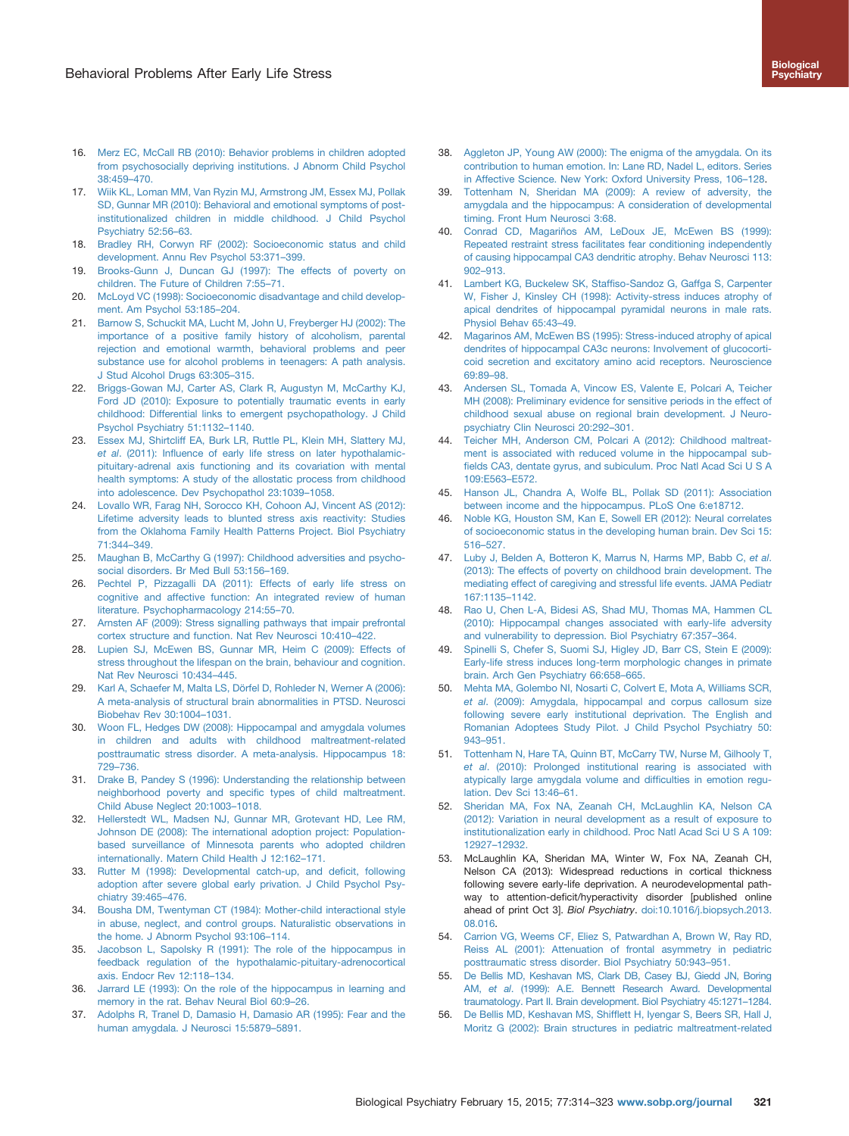- <span id="page-7-0"></span>16. [Merz EC, McCall RB \(2010\): Behavior problems in children adopted](http://refhub.elsevier.com/S0006-3223(14)00351-5/sbref16) [from psychosocially depriving institutions. J Abnorm Child Psychol](http://refhub.elsevier.com/S0006-3223(14)00351-5/sbref16) [38:459](http://refhub.elsevier.com/S0006-3223(14)00351-5/sbref16)–470.
- 17. [Wiik KL, Loman MM, Van Ryzin MJ, Armstrong JM, Essex MJ, Pollak](http://refhub.elsevier.com/S0006-3223(14)00351-5/sbref17) [SD, Gunnar MR \(2010\): Behavioral and emotional symptoms of post](http://refhub.elsevier.com/S0006-3223(14)00351-5/sbref17)[institutionalized children in middle childhood. J Child Psychol](http://refhub.elsevier.com/S0006-3223(14)00351-5/sbref17) [Psychiatry 52:56](http://refhub.elsevier.com/S0006-3223(14)00351-5/sbref17)–63.
- 18. [Bradley RH, Corwyn RF \(2002\): Socioeconomic status and child](http://refhub.elsevier.com/S0006-3223(14)00351-5/sbref18) [development. Annu Rev Psychol 53:371](http://refhub.elsevier.com/S0006-3223(14)00351-5/sbref18)–399.
- 19. [Brooks-Gunn J, Duncan GJ \(1997\): The effects of poverty on](http://refhub.elsevier.com/S0006-3223(14)00351-5/sbref19) [children. The Future of Children 7:55](http://refhub.elsevier.com/S0006-3223(14)00351-5/sbref19)–71.
- 20. [McLoyd VC \(1998\): Socioeconomic disadvantage and child develop](http://refhub.elsevier.com/S0006-3223(14)00351-5/sbref20)[ment. Am Psychol 53:185](http://refhub.elsevier.com/S0006-3223(14)00351-5/sbref20)–204.
- 21. [Barnow S, Schuckit MA, Lucht M, John U, Freyberger HJ \(2002\): The](http://refhub.elsevier.com/S0006-3223(14)00351-5/sbref21) [importance of a positive family history of alcoholism, parental](http://refhub.elsevier.com/S0006-3223(14)00351-5/sbref21) [rejection and emotional warmth, behavioral problems and peer](http://refhub.elsevier.com/S0006-3223(14)00351-5/sbref21) [substance use for alcohol problems in teenagers: A path analysis.](http://refhub.elsevier.com/S0006-3223(14)00351-5/sbref21) [J Stud Alcohol Drugs 63:305](http://refhub.elsevier.com/S0006-3223(14)00351-5/sbref21)–315.
- 22. [Briggs-Gowan MJ, Carter AS, Clark R, Augustyn M, McCarthy KJ,](http://refhub.elsevier.com/S0006-3223(14)00351-5/sbref22) [Ford JD \(2010\): Exposure to potentially traumatic events in early](http://refhub.elsevier.com/S0006-3223(14)00351-5/sbref22) [childhood: Differential links to emergent psychopathology. J Child](http://refhub.elsevier.com/S0006-3223(14)00351-5/sbref22) [Psychol Psychiatry 51:1132](http://refhub.elsevier.com/S0006-3223(14)00351-5/sbref22)–1140.
- 23. [Essex MJ, Shirtcliff EA, Burk LR, Ruttle PL, Klein MH, Slattery MJ,](http://refhub.elsevier.com/S0006-3223(14)00351-5/sbref23) et al. (2011): Infl[uence of early life stress on later hypothalamic](http://refhub.elsevier.com/S0006-3223(14)00351-5/sbref23)[pituitary-adrenal axis functioning and its covariation with mental](http://refhub.elsevier.com/S0006-3223(14)00351-5/sbref23) [health symptoms: A study of the allostatic process from childhood](http://refhub.elsevier.com/S0006-3223(14)00351-5/sbref23) [into adolescence. Dev Psychopathol 23:1039](http://refhub.elsevier.com/S0006-3223(14)00351-5/sbref23)–1058.
- 24. [Lovallo WR, Farag NH, Sorocco KH, Cohoon AJ, Vincent AS \(2012\):](http://refhub.elsevier.com/S0006-3223(14)00351-5/sbref24) [Lifetime adversity leads to blunted stress axis reactivity: Studies](http://refhub.elsevier.com/S0006-3223(14)00351-5/sbref24) [from the Oklahoma Family Health Patterns Project. Biol Psychiatry](http://refhub.elsevier.com/S0006-3223(14)00351-5/sbref24) [71:344](http://refhub.elsevier.com/S0006-3223(14)00351-5/sbref24)–349.
- 25. [Maughan B, McCarthy G \(1997\): Childhood adversities and psycho](http://refhub.elsevier.com/S0006-3223(14)00351-5/sbref25)[social disorders. Br Med Bull 53:156](http://refhub.elsevier.com/S0006-3223(14)00351-5/sbref25)–169.
- 26. [Pechtel P, Pizzagalli DA \(2011\): Effects of early life stress on](http://refhub.elsevier.com/S0006-3223(14)00351-5/sbref26) [cognitive and affective function: An integrated review of human](http://refhub.elsevier.com/S0006-3223(14)00351-5/sbref26) [literature. Psychopharmacology 214:55](http://refhub.elsevier.com/S0006-3223(14)00351-5/sbref26)–70.
- 27. [Arnsten AF \(2009\): Stress signalling pathways that impair prefrontal](http://refhub.elsevier.com/S0006-3223(14)00351-5/sbref27) [cortex structure and function. Nat Rev Neurosci 10:410](http://refhub.elsevier.com/S0006-3223(14)00351-5/sbref27)–422.
- 28. [Lupien SJ, McEwen BS, Gunnar MR, Heim C \(2009\): Effects of](http://refhub.elsevier.com/S0006-3223(14)00351-5/sbref28) [stress throughout the lifespan on the brain, behaviour and cognition.](http://refhub.elsevier.com/S0006-3223(14)00351-5/sbref28) [Nat Rev Neurosci 10:434](http://refhub.elsevier.com/S0006-3223(14)00351-5/sbref28)–445.
- 29. [Karl A, Schaefer M, Malta LS, Dörfel D, Rohleder N, Werner A \(2006\):](http://refhub.elsevier.com/S0006-3223(14)00351-5/sbref29) [A meta-analysis of structural brain abnormalities in PTSD. Neurosci](http://refhub.elsevier.com/S0006-3223(14)00351-5/sbref29) [Biobehav Rev 30:1004](http://refhub.elsevier.com/S0006-3223(14)00351-5/sbref29)–1031.
- 30. [Woon FL, Hedges DW \(2008\): Hippocampal and amygdala volumes](http://refhub.elsevier.com/S0006-3223(14)00351-5/sbref30) [in children and adults with childhood maltreatment-related](http://refhub.elsevier.com/S0006-3223(14)00351-5/sbref30) [posttraumatic stress disorder. A meta-analysis. Hippocampus 18:](http://refhub.elsevier.com/S0006-3223(14)00351-5/sbref30) 729–[736.](http://refhub.elsevier.com/S0006-3223(14)00351-5/sbref30)
- 31. [Drake B, Pandey S \(1996\): Understanding the relationship between](http://refhub.elsevier.com/S0006-3223(14)00351-5/sbref31) [neighborhood poverty and speci](http://refhub.elsevier.com/S0006-3223(14)00351-5/sbref31)fic types of child maltreatment. [Child Abuse Neglect 20:1003](http://refhub.elsevier.com/S0006-3223(14)00351-5/sbref31)–1018.
- 32. [Hellerstedt WL, Madsen NJ, Gunnar MR, Grotevant HD, Lee RM,](http://refhub.elsevier.com/S0006-3223(14)00351-5/sbref32) [Johnson DE \(2008\): The international adoption project: Population](http://refhub.elsevier.com/S0006-3223(14)00351-5/sbref32)[based surveillance of Minnesota parents who adopted children](http://refhub.elsevier.com/S0006-3223(14)00351-5/sbref32) [internationally. Matern Child Health J 12:162](http://refhub.elsevier.com/S0006-3223(14)00351-5/sbref32)–171.
- 33. [Rutter M \(1998\): Developmental catch-up, and de](http://refhub.elsevier.com/S0006-3223(14)00351-5/sbref33)ficit, following [adoption after severe global early privation. J Child Psychol Psy](http://refhub.elsevier.com/S0006-3223(14)00351-5/sbref33)[chiatry 39:465](http://refhub.elsevier.com/S0006-3223(14)00351-5/sbref33)–476.
- 34. [Bousha DM, Twentyman CT \(1984\): Mother-child interactional style](http://refhub.elsevier.com/S0006-3223(14)00351-5/sbref34) [in abuse, neglect, and control groups. Naturalistic observations in](http://refhub.elsevier.com/S0006-3223(14)00351-5/sbref34) [the home. J Abnorm Psychol 93:106](http://refhub.elsevier.com/S0006-3223(14)00351-5/sbref34)–114.
- 35. [Jacobson L, Sapolsky R \(1991\): The role of the hippocampus in](http://refhub.elsevier.com/S0006-3223(14)00351-5/sbref35) [feedback regulation of the hypothalamic-pituitary-adrenocortical](http://refhub.elsevier.com/S0006-3223(14)00351-5/sbref35) [axis. Endocr Rev 12:118](http://refhub.elsevier.com/S0006-3223(14)00351-5/sbref35)–134.
- 36. [Jarrard LE \(1993\): On the role of the hippocampus in learning and](http://refhub.elsevier.com/S0006-3223(14)00351-5/sbref36) [memory in the rat. Behav Neural Biol 60:9](http://refhub.elsevier.com/S0006-3223(14)00351-5/sbref36)–26.
- 37. [Adolphs R, Tranel D, Damasio H, Damasio AR \(1995\): Fear and the](http://refhub.elsevier.com/S0006-3223(14)00351-5/sbref37) [human amygdala. J Neurosci 15:5879](http://refhub.elsevier.com/S0006-3223(14)00351-5/sbref37)–5891.
- 38. [Aggleton JP, Young AW \(2000\): The enigma of the amygdala. On its](http://refhub.elsevier.com/S0006-3223(14)00351-5/sbref38) [contribution to human emotion. In: Lane RD, Nadel L, editors. Series](http://refhub.elsevier.com/S0006-3223(14)00351-5/sbref38) [in Affective Science. New York: Oxford University Press, 106](http://refhub.elsevier.com/S0006-3223(14)00351-5/sbref38)–128.
- 39. [Tottenham N, Sheridan MA \(2009\): A review of adversity, the](http://refhub.elsevier.com/S0006-3223(14)00351-5/sbref39) [amygdala and the hippocampus: A consideration of developmental](http://refhub.elsevier.com/S0006-3223(14)00351-5/sbref39) [timing. Front Hum Neurosci 3:68.](http://refhub.elsevier.com/S0006-3223(14)00351-5/sbref39)
- 40. [Conrad CD, Magariños AM, LeDoux JE, McEwen BS \(1999\):](http://refhub.elsevier.com/S0006-3223(14)00351-5/sbref40) [Repeated restraint stress facilitates fear conditioning independently](http://refhub.elsevier.com/S0006-3223(14)00351-5/sbref40) [of causing hippocampal CA3 dendritic atrophy. Behav Neurosci 113:](http://refhub.elsevier.com/S0006-3223(14)00351-5/sbref40) 902–[913.](http://refhub.elsevier.com/S0006-3223(14)00351-5/sbref40)
- 41. Lambert KG, Buckelew SK, Staffi[so-Sandoz G, Gaffga S, Carpenter](http://refhub.elsevier.com/S0006-3223(14)00351-5/sbref41) [W, Fisher J, Kinsley CH \(1998\): Activity-stress induces atrophy of](http://refhub.elsevier.com/S0006-3223(14)00351-5/sbref41) [apical dendrites of hippocampal pyramidal neurons in male rats.](http://refhub.elsevier.com/S0006-3223(14)00351-5/sbref41) [Physiol Behav 65:43](http://refhub.elsevier.com/S0006-3223(14)00351-5/sbref41)–49.
- 42. [Magarinos AM, McEwen BS \(1995\): Stress-induced atrophy of apical](http://refhub.elsevier.com/S0006-3223(14)00351-5/sbref42) [dendrites of hippocampal CA3c neurons: Involvement of glucocorti](http://refhub.elsevier.com/S0006-3223(14)00351-5/sbref42)[coid secretion and excitatory amino acid receptors. Neuroscience](http://refhub.elsevier.com/S0006-3223(14)00351-5/sbref42) [69:89](http://refhub.elsevier.com/S0006-3223(14)00351-5/sbref42)–98.
- 43. [Andersen SL, Tomada A, Vincow ES, Valente E, Polcari A, Teicher](http://refhub.elsevier.com/S0006-3223(14)00351-5/sbref43) [MH \(2008\): Preliminary evidence for sensitive periods in the effect of](http://refhub.elsevier.com/S0006-3223(14)00351-5/sbref43) [childhood sexual abuse on regional brain development. J Neuro](http://refhub.elsevier.com/S0006-3223(14)00351-5/sbref43)[psychiatry Clin Neurosci 20:292](http://refhub.elsevier.com/S0006-3223(14)00351-5/sbref43)–301.
- 44. [Teicher MH, Anderson CM, Polcari A \(2012\): Childhood maltreat](http://refhub.elsevier.com/S0006-3223(14)00351-5/sbref44)[ment is associated with reduced volume in the hippocampal sub](http://refhub.elsevier.com/S0006-3223(14)00351-5/sbref44)fi[elds CA3, dentate gyrus, and subiculum. Proc Natl Acad Sci U S A](http://refhub.elsevier.com/S0006-3223(14)00351-5/sbref44) [109:E563](http://refhub.elsevier.com/S0006-3223(14)00351-5/sbref44)–E572.
- 45. [Hanson JL, Chandra A, Wolfe BL, Pollak SD \(2011\): Association](http://refhub.elsevier.com/S0006-3223(14)00351-5/sbref45) [between income and the hippocampus. PLoS One 6:e18712.](http://refhub.elsevier.com/S0006-3223(14)00351-5/sbref45)
- 46. [Noble KG, Houston SM, Kan E, Sowell ER \(2012\): Neural correlates](http://refhub.elsevier.com/S0006-3223(14)00351-5/sbref46) [of socioeconomic status in the developing human brain. Dev Sci 15:](http://refhub.elsevier.com/S0006-3223(14)00351-5/sbref46) 516–[527.](http://refhub.elsevier.com/S0006-3223(14)00351-5/sbref46)
- 47. [Luby J, Belden A, Botteron K, Marrus N, Harms MP, Babb C,](http://refhub.elsevier.com/S0006-3223(14)00351-5/sbref47) et al. [\(2013\): The effects of poverty on childhood brain development. The](http://refhub.elsevier.com/S0006-3223(14)00351-5/sbref47) [mediating effect of caregiving and stressful life events. JAMA Pediatr](http://refhub.elsevier.com/S0006-3223(14)00351-5/sbref47) [167:1135](http://refhub.elsevier.com/S0006-3223(14)00351-5/sbref47)–1142.
- 48. [Rao U, Chen L-A, Bidesi AS, Shad MU, Thomas MA, Hammen CL](http://refhub.elsevier.com/S0006-3223(14)00351-5/sbref48) [\(2010\): Hippocampal changes associated with early-life adversity](http://refhub.elsevier.com/S0006-3223(14)00351-5/sbref48) [and vulnerability to depression. Biol Psychiatry 67:357](http://refhub.elsevier.com/S0006-3223(14)00351-5/sbref48)–364.
- 49. [Spinelli S, Chefer S, Suomi SJ, Higley JD, Barr CS, Stein E \(2009\):](http://refhub.elsevier.com/S0006-3223(14)00351-5/sbref49) [Early-life stress induces long-term morphologic changes in primate](http://refhub.elsevier.com/S0006-3223(14)00351-5/sbref49) [brain. Arch Gen Psychiatry 66:658](http://refhub.elsevier.com/S0006-3223(14)00351-5/sbref49)–665.
- 50. [Mehta MA, Golembo NI, Nosarti C, Colvert E, Mota A, Williams SCR,](http://refhub.elsevier.com/S0006-3223(14)00351-5/sbref50) et al[. \(2009\): Amygdala, hippocampal and corpus callosum size](http://refhub.elsevier.com/S0006-3223(14)00351-5/sbref50) [following severe early institutional deprivation. The English and](http://refhub.elsevier.com/S0006-3223(14)00351-5/sbref50) [Romanian Adoptees Study Pilot. J Child Psychol Psychiatry 50:](http://refhub.elsevier.com/S0006-3223(14)00351-5/sbref50) 943–[951.](http://refhub.elsevier.com/S0006-3223(14)00351-5/sbref50)
- 51. [Tottenham N, Hare TA, Quinn BT, McCarry TW, Nurse M, Gilhooly T,](http://refhub.elsevier.com/S0006-3223(14)00351-5/sbref51) et al[. \(2010\): Prolonged institutional rearing is associated with](http://refhub.elsevier.com/S0006-3223(14)00351-5/sbref51) [atypically large amygdala volume and dif](http://refhub.elsevier.com/S0006-3223(14)00351-5/sbref51)ficulties in emotion regu[lation. Dev Sci 13:46](http://refhub.elsevier.com/S0006-3223(14)00351-5/sbref51)–61.
- 52. [Sheridan MA, Fox NA, Zeanah CH, McLaughlin KA, Nelson CA](http://refhub.elsevier.com/S0006-3223(14)00351-5/sbref52) [\(2012\): Variation in neural development as a result of exposure to](http://refhub.elsevier.com/S0006-3223(14)00351-5/sbref52) [institutionalization early in childhood. Proc Natl Acad Sci U S A 109:](http://refhub.elsevier.com/S0006-3223(14)00351-5/sbref52) 12927–[12932.](http://refhub.elsevier.com/S0006-3223(14)00351-5/sbref52)
- 53. McLaughlin KA, Sheridan MA, Winter W, Fox NA, Zeanah CH, Nelson CA (2013): Widespread reductions in cortical thickness following severe early-life deprivation. A neurodevelopmental pathway to attention-deficit/hyperactivity disorder [published online ahead of print Oct 3]. Biol Psychiatry. [doi:10.1016/j.biopsych.2013.](dx.doi.org/doi:10.1016/j.biopsych.2013.08.016) [08.016](dx.doi.org/doi:10.1016/j.biopsych.2013.08.016).
- 54. [Carrion VG, Weems CF, Eliez S, Patwardhan A, Brown W, Ray RD,](http://refhub.elsevier.com/S0006-3223(14)00351-5/sbref54) [Reiss AL \(2001\): Attenuation of frontal asymmetry in pediatric](http://refhub.elsevier.com/S0006-3223(14)00351-5/sbref54) [posttraumatic stress disorder. Biol Psychiatry 50:943](http://refhub.elsevier.com/S0006-3223(14)00351-5/sbref54)–951.
- 55. [De Bellis MD, Keshavan MS, Clark DB, Casey BJ, Giedd JN, Boring](http://refhub.elsevier.com/S0006-3223(14)00351-5/sbref55) AM, et al[. \(1999\): A.E. Bennett Research Award. Developmental](http://refhub.elsevier.com/S0006-3223(14)00351-5/sbref55) [traumatology. Part II. Brain development. Biol Psychiatry 45:1271](http://refhub.elsevier.com/S0006-3223(14)00351-5/sbref55)–1284.
- 56. De Bellis MD, Keshavan MS, Shiffl[ett H, Iyengar S, Beers SR, Hall J,](http://refhub.elsevier.com/S0006-3223(14)00351-5/sbref56) [Moritz G \(2002\): Brain structures in pediatric maltreatment-related](http://refhub.elsevier.com/S0006-3223(14)00351-5/sbref56)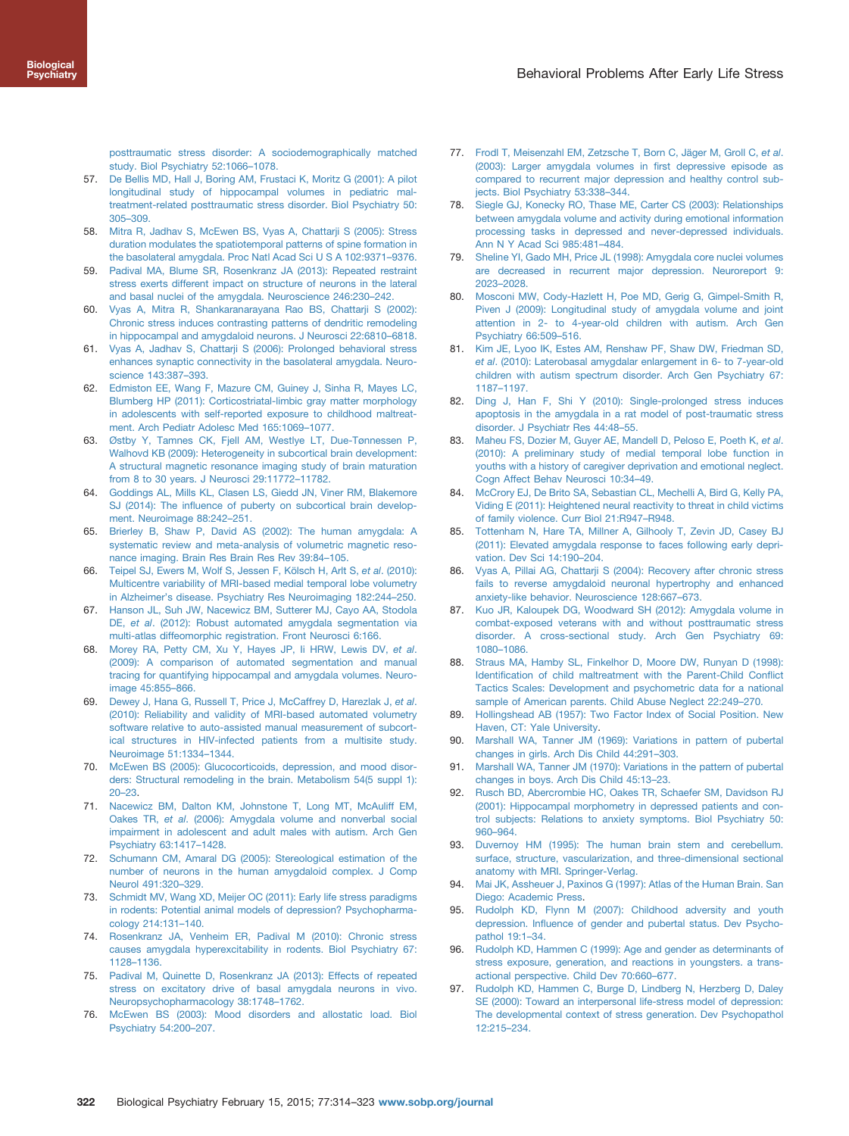<span id="page-8-0"></span>[posttraumatic stress disorder: A sociodemographically matched](http://refhub.elsevier.com/S0006-3223(14)00351-5/sbref56) [study. Biol Psychiatry 52:1066](http://refhub.elsevier.com/S0006-3223(14)00351-5/sbref56)–1078.

- 57. [De Bellis MD, Hall J, Boring AM, Frustaci K, Moritz G \(2001\): A pilot](http://refhub.elsevier.com/S0006-3223(14)00351-5/sbref57) [longitudinal study of hippocampal volumes in pediatric mal](http://refhub.elsevier.com/S0006-3223(14)00351-5/sbref57)[treatment-related posttraumatic stress disorder. Biol Psychiatry 50:](http://refhub.elsevier.com/S0006-3223(14)00351-5/sbref57) 305–[309.](http://refhub.elsevier.com/S0006-3223(14)00351-5/sbref57)
- 58. [Mitra R, Jadhav S, McEwen BS, Vyas A, Chattarji S \(2005\): Stress](http://refhub.elsevier.com/S0006-3223(14)00351-5/sbref58) [duration modulates the spatiotemporal patterns of spine formation in](http://refhub.elsevier.com/S0006-3223(14)00351-5/sbref58) [the basolateral amygdala. Proc Natl Acad Sci U S A 102:9371](http://refhub.elsevier.com/S0006-3223(14)00351-5/sbref58)–9376.
- 59. [Padival MA, Blume SR, Rosenkranz JA \(2013\): Repeated restraint](http://refhub.elsevier.com/S0006-3223(14)00351-5/sbref59) [stress exerts different impact on structure of neurons in the lateral](http://refhub.elsevier.com/S0006-3223(14)00351-5/sbref59) [and basal nuclei of the amygdala. Neuroscience 246:230](http://refhub.elsevier.com/S0006-3223(14)00351-5/sbref59)–242.
- 60. [Vyas A, Mitra R, Shankaranarayana Rao BS, Chattarji S \(2002\):](http://refhub.elsevier.com/S0006-3223(14)00351-5/sbref60) [Chronic stress induces contrasting patterns of dendritic remodeling](http://refhub.elsevier.com/S0006-3223(14)00351-5/sbref60) [in hippocampal and amygdaloid neurons. J Neurosci 22:6810](http://refhub.elsevier.com/S0006-3223(14)00351-5/sbref60)–6818.
- 61. [Vyas A, Jadhav S, Chattarji S \(2006\): Prolonged behavioral stress](http://refhub.elsevier.com/S0006-3223(14)00351-5/sbref61) [enhances synaptic connectivity in the basolateral amygdala. Neuro](http://refhub.elsevier.com/S0006-3223(14)00351-5/sbref61)[science 143:387](http://refhub.elsevier.com/S0006-3223(14)00351-5/sbref61)–393.
- 62. [Edmiston EE, Wang F, Mazure CM, Guiney J, Sinha R, Mayes LC,](http://refhub.elsevier.com/S0006-3223(14)00351-5/sbref62) [Blumberg HP \(2011\): Corticostriatal-limbic gray matter morphology](http://refhub.elsevier.com/S0006-3223(14)00351-5/sbref62) [in adolescents with self-reported exposure to childhood maltreat](http://refhub.elsevier.com/S0006-3223(14)00351-5/sbref62)[ment. Arch Pediatr Adolesc Med 165:1069](http://refhub.elsevier.com/S0006-3223(14)00351-5/sbref62)–1077.
- 63. [Østby Y, Tamnes CK, Fjell AM, Westlye LT, Due-Tønnessen P,](http://refhub.elsevier.com/S0006-3223(14)00351-5/sbref63) [Walhovd KB \(2009\): Heterogeneity in subcortical brain development:](http://refhub.elsevier.com/S0006-3223(14)00351-5/sbref63) [A structural magnetic resonance imaging study of brain maturation](http://refhub.elsevier.com/S0006-3223(14)00351-5/sbref63) [from 8 to 30 years. J Neurosci 29:11772](http://refhub.elsevier.com/S0006-3223(14)00351-5/sbref63)–11782.
- 64. [Goddings AL, Mills KL, Clasen LS, Giedd JN, Viner RM, Blakemore](http://refhub.elsevier.com/S0006-3223(14)00351-5/sbref64) SJ (2014): The infl[uence of puberty on subcortical brain develop](http://refhub.elsevier.com/S0006-3223(14)00351-5/sbref64)[ment. Neuroimage 88:242](http://refhub.elsevier.com/S0006-3223(14)00351-5/sbref64)–251.
- 65. [Brierley B, Shaw P, David AS \(2002\): The human amygdala: A](http://refhub.elsevier.com/S0006-3223(14)00351-5/sbref65) [systematic review and meta-analysis of volumetric magnetic reso](http://refhub.elsevier.com/S0006-3223(14)00351-5/sbref65)[nance imaging. Brain Res Brain Res Rev 39:84](http://refhub.elsevier.com/S0006-3223(14)00351-5/sbref65)–105.
- 66. [Teipel SJ, Ewers M, Wolf S, Jessen F, Kölsch H, Arlt S,](http://refhub.elsevier.com/S0006-3223(14)00351-5/sbref66) et al. (2010): [Multicentre variability of MRI-based medial temporal lobe volumetry](http://refhub.elsevier.com/S0006-3223(14)00351-5/sbref66) in Alzheimer'[s disease. Psychiatry Res Neuroimaging 182:244](http://refhub.elsevier.com/S0006-3223(14)00351-5/sbref66)–250.
- 67. [Hanson JL, Suh JW, Nacewicz BM, Sutterer MJ, Cayo AA, Stodola](http://refhub.elsevier.com/S0006-3223(14)00351-5/sbref67) DE, et al[. \(2012\): Robust automated amygdala segmentation via](http://refhub.elsevier.com/S0006-3223(14)00351-5/sbref67) [multi-atlas diffeomorphic registration. Front Neurosci 6:166.](http://refhub.elsevier.com/S0006-3223(14)00351-5/sbref67)
- 68. [Morey RA, Petty CM, Xu Y, Hayes JP, Ii HRW, Lewis DV,](http://refhub.elsevier.com/S0006-3223(14)00351-5/sbref68) et al. [\(2009\): A comparison of automated segmentation and manual](http://refhub.elsevier.com/S0006-3223(14)00351-5/sbref68) [tracing for quantifying hippocampal and amygdala volumes. Neuro](http://refhub.elsevier.com/S0006-3223(14)00351-5/sbref68)[image 45:855](http://refhub.elsevier.com/S0006-3223(14)00351-5/sbref68)–866.
- 69. [Dewey J, Hana G, Russell T, Price J, McCaffrey D, Harezlak J,](http://refhub.elsevier.com/S0006-3223(14)00351-5/sbref69) et al. [\(2010\): Reliability and validity of MRI-based automated volumetry](http://refhub.elsevier.com/S0006-3223(14)00351-5/sbref69) [software relative to auto-assisted manual measurement of subcort](http://refhub.elsevier.com/S0006-3223(14)00351-5/sbref69)[ical structures in HIV-infected patients from a multisite study.](http://refhub.elsevier.com/S0006-3223(14)00351-5/sbref69) [Neuroimage 51:1334](http://refhub.elsevier.com/S0006-3223(14)00351-5/sbref69)–1344.
- 70. [McEwen BS \(2005\): Glucocorticoids, depression, and mood disor](http://refhub.elsevier.com/S0006-3223(14)00351-5/sbref70)[ders: Structural remodeling in the brain. Metabolism 54\(5 suppl 1\):](http://refhub.elsevier.com/S0006-3223(14)00351-5/sbref70) 20–[23.](http://refhub.elsevier.com/S0006-3223(14)00351-5/sbref70)
- 71. [Nacewicz BM, Dalton KM, Johnstone T, Long MT, McAuliff EM,](http://refhub.elsevier.com/S0006-3223(14)00351-5/sbref71) Oakes TR, et al[. \(2006\): Amygdala volume and nonverbal social](http://refhub.elsevier.com/S0006-3223(14)00351-5/sbref71) [impairment in adolescent and adult males with autism. Arch Gen](http://refhub.elsevier.com/S0006-3223(14)00351-5/sbref71) [Psychiatry 63:1417](http://refhub.elsevier.com/S0006-3223(14)00351-5/sbref71)–1428.
- 72. [Schumann CM, Amaral DG \(2005\): Stereological estimation of the](http://refhub.elsevier.com/S0006-3223(14)00351-5/sbref72) [number of neurons in the human amygdaloid complex. J Comp](http://refhub.elsevier.com/S0006-3223(14)00351-5/sbref72) [Neurol 491:320](http://refhub.elsevier.com/S0006-3223(14)00351-5/sbref72)–329.
- 73. [Schmidt MV, Wang XD, Meijer OC \(2011\): Early life stress paradigms](http://refhub.elsevier.com/S0006-3223(14)00351-5/sbref73) [in rodents: Potential animal models of depression? Psychopharma](http://refhub.elsevier.com/S0006-3223(14)00351-5/sbref73)[cology 214:131](http://refhub.elsevier.com/S0006-3223(14)00351-5/sbref73)–140.
- 74. [Rosenkranz JA, Venheim ER, Padival M \(2010\): Chronic stress](http://refhub.elsevier.com/S0006-3223(14)00351-5/sbref74) [causes amygdala hyperexcitability in rodents. Biol Psychiatry 67:](http://refhub.elsevier.com/S0006-3223(14)00351-5/sbref74) 1128–[1136.](http://refhub.elsevier.com/S0006-3223(14)00351-5/sbref74)
- 75. [Padival M, Quinette D, Rosenkranz JA \(2013\): Effects of repeated](http://refhub.elsevier.com/S0006-3223(14)00351-5/sbref75) [stress on excitatory drive of basal amygdala neurons in vivo.](http://refhub.elsevier.com/S0006-3223(14)00351-5/sbref75) [Neuropsychopharmacology 38:1748](http://refhub.elsevier.com/S0006-3223(14)00351-5/sbref75)–1762.
- 76. [McEwen BS \(2003\): Mood disorders and allostatic load. Biol](http://refhub.elsevier.com/S0006-3223(14)00351-5/sbref76) [Psychiatry 54:200](http://refhub.elsevier.com/S0006-3223(14)00351-5/sbref76)–207.
- 77. [Frodl T, Meisenzahl EM, Zetzsche T, Born C, Jäger M, Groll C,](http://refhub.elsevier.com/S0006-3223(14)00351-5/sbref77) et al. [\(2003\): Larger amygdala volumes in](http://refhub.elsevier.com/S0006-3223(14)00351-5/sbref77) first depressive episode as [compared to recurrent major depression and healthy control sub](http://refhub.elsevier.com/S0006-3223(14)00351-5/sbref77)[jects. Biol Psychiatry 53:338](http://refhub.elsevier.com/S0006-3223(14)00351-5/sbref77)–344.
- 78. [Siegle GJ, Konecky RO, Thase ME, Carter CS \(2003\): Relationships](http://refhub.elsevier.com/S0006-3223(14)00351-5/sbref78) [between amygdala volume and activity during emotional information](http://refhub.elsevier.com/S0006-3223(14)00351-5/sbref78) [processing tasks in depressed and never-depressed individuals.](http://refhub.elsevier.com/S0006-3223(14)00351-5/sbref78) [Ann N Y Acad Sci 985:481](http://refhub.elsevier.com/S0006-3223(14)00351-5/sbref78)–484.
- 79. [Sheline YI, Gado MH, Price JL \(1998\): Amygdala core nuclei volumes](http://refhub.elsevier.com/S0006-3223(14)00351-5/sbref79) [are decreased in recurrent major depression. Neuroreport 9:](http://refhub.elsevier.com/S0006-3223(14)00351-5/sbref79) 2023–[2028.](http://refhub.elsevier.com/S0006-3223(14)00351-5/sbref79)
- 80. [Mosconi MW, Cody-Hazlett H, Poe MD, Gerig G, Gimpel-Smith R,](http://refhub.elsevier.com/S0006-3223(14)00351-5/sbref80) [Piven J \(2009\): Longitudinal study of amygdala volume and joint](http://refhub.elsevier.com/S0006-3223(14)00351-5/sbref80) [attention in 2- to 4-year-old children with autism. Arch Gen](http://refhub.elsevier.com/S0006-3223(14)00351-5/sbref80) [Psychiatry 66:509](http://refhub.elsevier.com/S0006-3223(14)00351-5/sbref80)–516.
- 81. [Kim JE, Lyoo IK, Estes AM, Renshaw PF, Shaw DW, Friedman SD,](http://refhub.elsevier.com/S0006-3223(14)00351-5/sbref81) et al[. \(2010\): Laterobasal amygdalar enlargement in 6- to 7-year-old](http://refhub.elsevier.com/S0006-3223(14)00351-5/sbref81) [children with autism spectrum disorder. Arch Gen Psychiatry 67:](http://refhub.elsevier.com/S0006-3223(14)00351-5/sbref81) 1187–[1197.](http://refhub.elsevier.com/S0006-3223(14)00351-5/sbref81)
- 82. [Ding J, Han F, Shi Y \(2010\): Single-prolonged stress induces](http://refhub.elsevier.com/S0006-3223(14)00351-5/sbref82) [apoptosis in the amygdala in a rat model of post-traumatic stress](http://refhub.elsevier.com/S0006-3223(14)00351-5/sbref82) [disorder. J Psychiatr Res 44:48](http://refhub.elsevier.com/S0006-3223(14)00351-5/sbref82)–55.
- 83. Maheu FS, Dozier M, Guver AE, Mandell D, Peloso E, Poeth K, et al. [\(2010\): A preliminary study of medial temporal lobe function in](http://refhub.elsevier.com/S0006-3223(14)00351-5/sbref83) [youths with a history of caregiver deprivation and emotional neglect.](http://refhub.elsevier.com/S0006-3223(14)00351-5/sbref83) [Cogn Affect Behav Neurosci 10:34](http://refhub.elsevier.com/S0006-3223(14)00351-5/sbref83)–49.
- 84. [McCrory EJ, De Brito SA, Sebastian CL, Mechelli A, Bird G, Kelly PA,](http://refhub.elsevier.com/S0006-3223(14)00351-5/sbref84) [Viding E \(2011\): Heightened neural reactivity to threat in child victims](http://refhub.elsevier.com/S0006-3223(14)00351-5/sbref84) [of family violence. Curr Biol 21:R947](http://refhub.elsevier.com/S0006-3223(14)00351-5/sbref84)–R948.
- 85. [Tottenham N, Hare TA, Millner A, Gilhooly T, Zevin JD, Casey BJ](http://refhub.elsevier.com/S0006-3223(14)00351-5/sbref85) [\(2011\): Elevated amygdala response to faces following early depri](http://refhub.elsevier.com/S0006-3223(14)00351-5/sbref85)[vation. Dev Sci 14:190](http://refhub.elsevier.com/S0006-3223(14)00351-5/sbref85)–204.
- 86. [Vyas A, Pillai AG, Chattarji S \(2004\): Recovery after chronic stress](http://refhub.elsevier.com/S0006-3223(14)00351-5/sbref86) [fails to reverse amygdaloid neuronal hypertrophy and enhanced](http://refhub.elsevier.com/S0006-3223(14)00351-5/sbref86) [anxiety-like behavior. Neuroscience 128:667](http://refhub.elsevier.com/S0006-3223(14)00351-5/sbref86)–673.
- 87. [Kuo JR, Kaloupek DG, Woodward SH \(2012\): Amygdala volume in](http://refhub.elsevier.com/S0006-3223(14)00351-5/sbref87) [combat-exposed veterans with and without posttraumatic stress](http://refhub.elsevier.com/S0006-3223(14)00351-5/sbref87) [disorder. A cross-sectional study. Arch Gen Psychiatry 69:](http://refhub.elsevier.com/S0006-3223(14)00351-5/sbref87) 1080–[1086.](http://refhub.elsevier.com/S0006-3223(14)00351-5/sbref87)
- 88. [Straus MA, Hamby SL, Finkelhor D, Moore DW, Runyan D \(1998\):](http://refhub.elsevier.com/S0006-3223(14)00351-5/sbref88) Identifi[cation of child maltreatment with the Parent-Child Con](http://refhub.elsevier.com/S0006-3223(14)00351-5/sbref88)flict [Tactics Scales: Development and psychometric data for a national](http://refhub.elsevier.com/S0006-3223(14)00351-5/sbref88) [sample of American parents. Child Abuse Neglect 22:249](http://refhub.elsevier.com/S0006-3223(14)00351-5/sbref88)–270.
- 89. [Hollingshead AB \(1957\): Two Factor Index of Social Position. New](http://refhub.elsevier.com/S0006-3223(14)00351-5/sbref89) [Haven, CT: Yale University.](http://refhub.elsevier.com/S0006-3223(14)00351-5/sbref89)
- 90. [Marshall WA, Tanner JM \(1969\): Variations in pattern of pubertal](http://refhub.elsevier.com/S0006-3223(14)00351-5/sbref90) [changes in girls. Arch Dis Child 44:291](http://refhub.elsevier.com/S0006-3223(14)00351-5/sbref90)–303.
- 91. [Marshall WA, Tanner JM \(1970\): Variations in the pattern of pubertal](http://refhub.elsevier.com/S0006-3223(14)00351-5/sbref91) [changes in boys. Arch Dis Child 45:13](http://refhub.elsevier.com/S0006-3223(14)00351-5/sbref91)–23.
- 92. [Rusch BD, Abercrombie HC, Oakes TR, Schaefer SM, Davidson RJ](http://refhub.elsevier.com/S0006-3223(14)00351-5/sbref92) [\(2001\): Hippocampal morphometry in depressed patients and con](http://refhub.elsevier.com/S0006-3223(14)00351-5/sbref92)[trol subjects: Relations to anxiety symptoms. Biol Psychiatry 50:](http://refhub.elsevier.com/S0006-3223(14)00351-5/sbref92) 960–[964.](http://refhub.elsevier.com/S0006-3223(14)00351-5/sbref92)
- 93. [Duvernoy HM \(1995\): The human brain stem and cerebellum.](http://refhub.elsevier.com/S0006-3223(14)00351-5/sbref93) [surface, structure, vascularization, and three-dimensional sectional](http://refhub.elsevier.com/S0006-3223(14)00351-5/sbref93) [anatomy with MRI. Springer-Verlag.](http://refhub.elsevier.com/S0006-3223(14)00351-5/sbref93)
- 94. [Mai JK, Assheuer J, Paxinos G \(1997\): Atlas of the Human Brain. San](http://refhub.elsevier.com/S0006-3223(14)00351-5/sbref94) [Diego: Academic Press.](http://refhub.elsevier.com/S0006-3223(14)00351-5/sbref94)
- 95. [Rudolph KD, Flynn M \(2007\): Childhood adversity and youth](http://refhub.elsevier.com/S0006-3223(14)00351-5/sbref95) depression. Infl[uence of gender and pubertal status. Dev Psycho](http://refhub.elsevier.com/S0006-3223(14)00351-5/sbref95)[pathol 19:1](http://refhub.elsevier.com/S0006-3223(14)00351-5/sbref95)–34.
- 96. [Rudolph KD, Hammen C \(1999\): Age and gender as determinants of](http://refhub.elsevier.com/S0006-3223(14)00351-5/sbref96) [stress exposure, generation, and reactions in youngsters. a trans](http://refhub.elsevier.com/S0006-3223(14)00351-5/sbref96)[actional perspective. Child Dev 70:660](http://refhub.elsevier.com/S0006-3223(14)00351-5/sbref96)–677.
- 97. [Rudolph KD, Hammen C, Burge D, Lindberg N, Herzberg D, Daley](http://refhub.elsevier.com/S0006-3223(14)00351-5/sbref97) [SE \(2000\): Toward an interpersonal life-stress model of depression:](http://refhub.elsevier.com/S0006-3223(14)00351-5/sbref97) [The developmental context of stress generation. Dev Psychopathol](http://refhub.elsevier.com/S0006-3223(14)00351-5/sbref97) [12:215](http://refhub.elsevier.com/S0006-3223(14)00351-5/sbref97)–234.